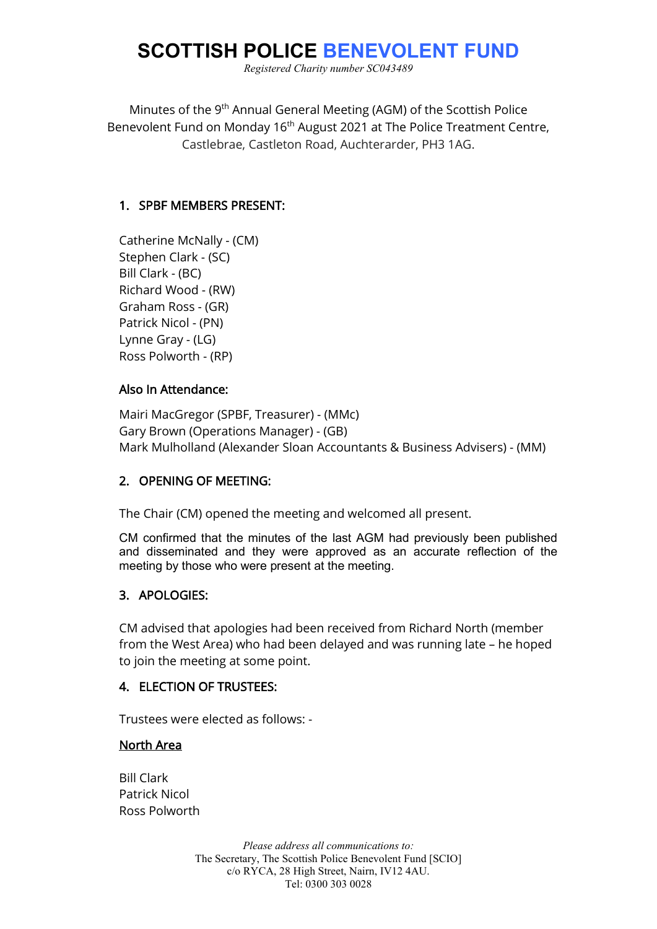# **SCOTTISH POLICE BENEVOLENT FUND**

*Registered Charity number SC043489*

Minutes of the 9<sup>th</sup> Annual General Meeting (AGM) of the Scottish Police Benevolent Fund on Monday 16<sup>th</sup> August 2021 at The Police Treatment Centre. Castlebrae, Castleton Road, Auchterarder, PH3 1AG.

## 1. SPBF MEMBERS PRESENT:

Catherine McNally - (CM) Stephen Clark - (SC) Bill Clark - (BC) Richard Wood - (RW) Graham Ross - (GR) Patrick Nicol - (PN) Lynne Gray - (LG) Ross Polworth - (RP)

## Also In Attendance:

Mairi MacGregor (SPBF, Treasurer) - (MMc) Gary Brown (Operations Manager) - (GB) Mark Mulholland (Alexander Sloan Accountants & Business Advisers) - (MM)

## 2. OPENING OF MEETING:

The Chair (CM) opened the meeting and welcomed all present.

CM confirmed that the minutes of the last AGM had previously been published and disseminated and they were approved as an accurate reflection of the meeting by those who were present at the meeting.

## 3. APOLOGIES:

CM advised that apologies had been received from Richard North (member from the West Area) who had been delayed and was running late – he hoped to join the meeting at some point.

## 4. ELECTION OF TRUSTEES:

Trustees were elected as follows: -

## North Area

Bill Clark Patrick Nicol Ross Polworth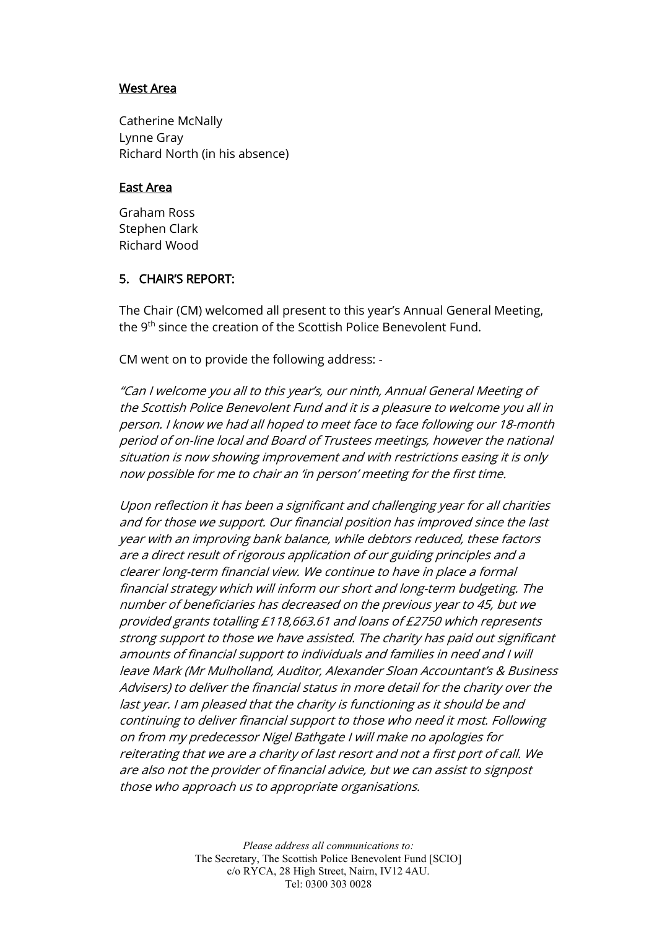## West Area

Catherine McNally Lynne Gray Richard North (in his absence)

#### East Area

Graham Ross Stephen Clark Richard Wood

## 5. CHAIR'S REPORT:

The Chair (CM) welcomed all present to this year's Annual General Meeting, the 9<sup>th</sup> since the creation of the Scottish Police Benevolent Fund.

CM went on to provide the following address: -

"Can I welcome you all to this year's, our ninth, Annual General Meeting of the Scottish Police Benevolent Fund and it is a pleasure to welcome you all in person. I know we had all hoped to meet face to face following our 18-month period of on-line local and Board of Trustees meetings, however the national situation is now showing improvement and with restrictions easing it is only now possible for me to chair an 'in person' meeting for the first time.

Upon reflection it has been a significant and challenging year for all charities and for those we support. Our financial position has improved since the last year with an improving bank balance, while debtors reduced, these factors are a direct result of rigorous application of our guiding principles and a clearer long-term financial view. We continue to have in place a formal financial strategy which will inform our short and long-term budgeting. The number of beneficiaries has decreased on the previous year to 45, but we provided grants totalling £118,663.61 and loans of £2750 which represents strong support to those we have assisted. The charity has paid out significant amounts of financial support to individuals and families in need and I will leave Mark (Mr Mulholland, Auditor, Alexander Sloan Accountant's & Business Advisers) to deliver the financial status in more detail for the charity over the last year. I am pleased that the charity is functioning as it should be and continuing to deliver financial support to those who need it most. Following on from my predecessor Nigel Bathgate I will make no apologies for reiterating that we are a charity of last resort and not a first port of call. We are also not the provider of financial advice, but we can assist to signpost those who approach us to appropriate organisations.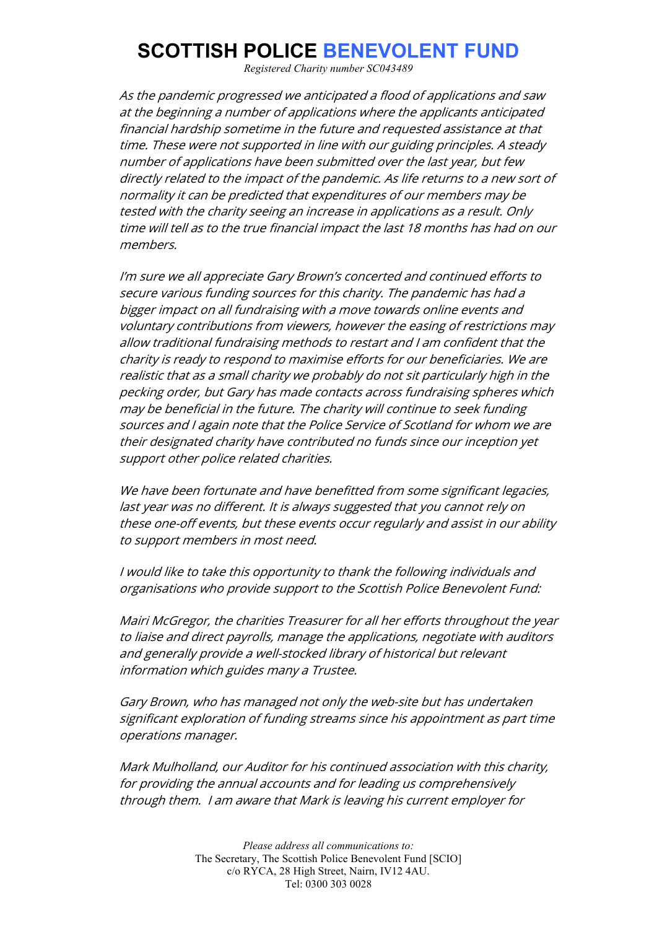# **SCOTTISH POLICE BENEVOLENT FUND**

*Registered Charity number SC043489*

As the pandemic progressed we anticipated a flood of applications and saw at the beginning a number of applications where the applicants anticipated financial hardship sometime in the future and requested assistance at that time. These were not supported in line with our guiding principles. A steady number of applications have been submitted over the last year, but few directly related to the impact of the pandemic. As life returns to a new sort of normality it can be predicted that expenditures of our members may be tested with the charity seeing an increase in applications as a result. Only time will tell as to the true financial impact the last 18 months has had on our members.

I'm sure we all appreciate Gary Brown's concerted and continued efforts to secure various funding sources for this charity. The pandemic has had a bigger impact on all fundraising with a move towards online events and voluntary contributions from viewers, however the easing of restrictions may allow traditional fundraising methods to restart and I am confident that the charity is ready to respond to maximise efforts for our beneficiaries. We are realistic that as a small charity we probably do not sit particularly high in the pecking order, but Gary has made contacts across fundraising spheres which may be beneficial in the future. The charity will continue to seek funding sources and I again note that the Police Service of Scotland for whom we are their designated charity have contributed no funds since our inception yet support other police related charities.

We have been fortunate and have benefitted from some significant legacies, last year was no different. It is always suggested that you cannot rely on these one-off events, but these events occur regularly and assist in our ability to support members in most need.

I would like to take this opportunity to thank the following individuals and organisations who provide support to the Scottish Police Benevolent Fund:

Mairi McGregor, the charities Treasurer for all her efforts throughout the year to liaise and direct payrolls, manage the applications, negotiate with auditors and generally provide a well-stocked library of historical but relevant information which guides many a Trustee.

Gary Brown, who has managed not only the web-site but has undertaken significant exploration of funding streams since his appointment as part time operations manager.

Mark Mulholland, our Auditor for his continued association with this charity, for providing the annual accounts and for leading us comprehensively through them. I am aware that Mark is leaving his current employer for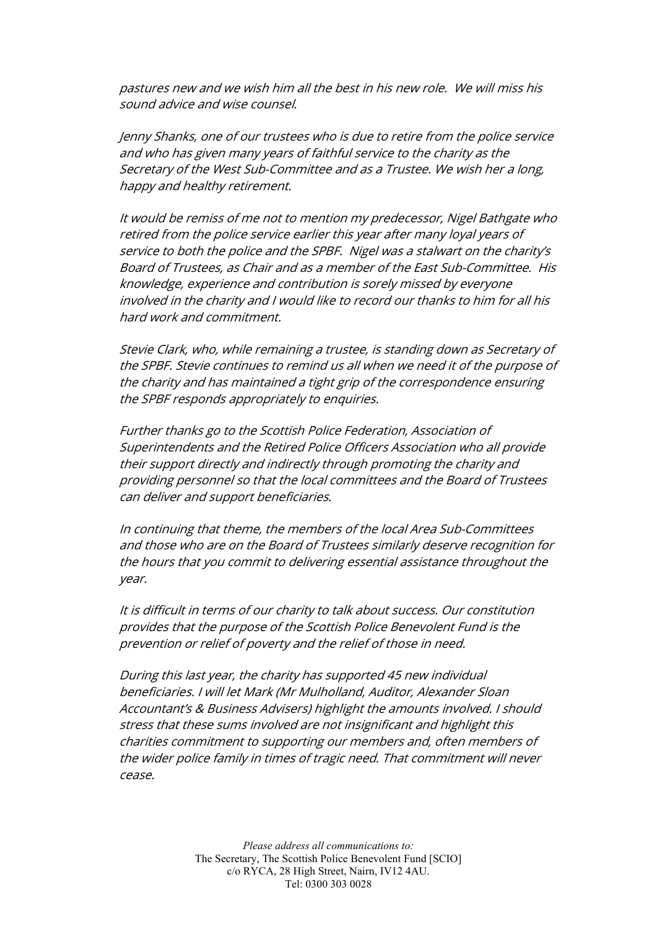pastures new and we wish him all the best in his new role. We will miss his sound advice and wise counsel.

Jenny Shanks, one of our trustees who is due to retire from the police service and who has given many years of faithful service to the charity as the Secretary of the West Sub-Committee and as a Trustee. We wish her a long, happy and healthy retirement.

It would be remiss of me not to mention my predecessor, Nigel Bathgate who retired from the police service earlier this year after many loyal years of service to both the police and the SPBF. Nigel was a stalwart on the charity's Board of Trustees, as Chair and as a member of the East Sub-Committee. His knowledge, experience and contribution is sorely missed by everyone involved in the charity and I would like to record our thanks to him for all his hard work and commitment.

Stevie Clark, who, while remaining a trustee, is standing down as Secretary of the SPBF. Stevie continues to remind us all when we need it of the purpose of the charity and has maintained a tight grip of the correspondence ensuring the SPBF responds appropriately to enquiries.

Further thanks go to the Scottish Police Federation, Association of Superintendents and the Retired Police Officers Association who all provide their support directly and indirectly through promoting the charity and providing personnel so that the local committees and the Board of Trustees can deliver and support beneficiaries.

In continuing that theme, the members of the local Area Sub-Committees and those who are on the Board of Trustees similarly deserve recognition for the hours that you commit to delivering essential assistance throughout the year.

It is difficult in terms of our charity to talk about success. Our constitution provides that the purpose of the Scottish Police Benevolent Fund is the prevention or relief of poverty and the relief of those in need.

During this last year, the charity has supported 45 new individual beneficiaries. I will let Mark (Mr Mulholland, Auditor, Alexander Sloan Accountant's & Business Advisers) highlight the amounts involved. I should stress that these sums involved are not insignificant and highlight this charities commitment to supporting our members and, often members of the wider police family in times of tragic need. That commitment will never cease.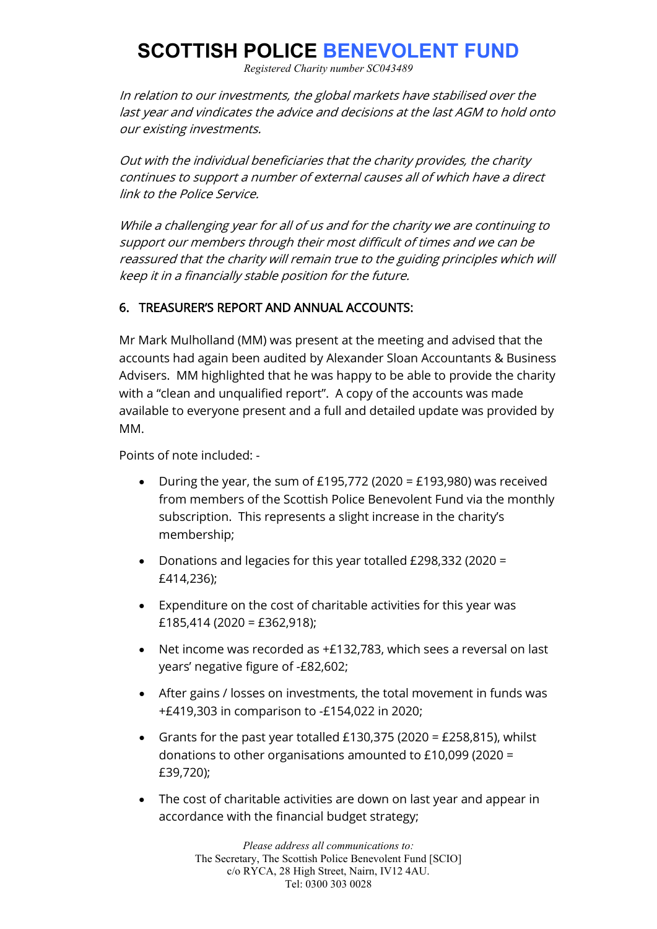# **SCOTTISH POLICE BENEVOLENT FUND**

*Registered Charity number SC043489*

In relation to our investments, the global markets have stabilised over the last year and vindicates the advice and decisions at the last AGM to hold onto our existing investments.

Out with the individual beneficiaries that the charity provides, the charity continues to support a number of external causes all of which have a direct link to the Police Service.

While a challenging year for all of us and for the charity we are continuing to support our members through their most difficult of times and we can be reassured that the charity will remain true to the guiding principles which will keep it in a financially stable position for the future.

# 6. TREASURER'S REPORT AND ANNUAL ACCOUNTS:

Mr Mark Mulholland (MM) was present at the meeting and advised that the accounts had again been audited by Alexander Sloan Accountants & Business Advisers. MM highlighted that he was happy to be able to provide the charity with a "clean and unqualified report". A copy of the accounts was made available to everyone present and a full and detailed update was provided by MM.

Points of note included: -

- During the year, the sum of £195,772 (2020 = £193,980) was received from members of the Scottish Police Benevolent Fund via the monthly subscription. This represents a slight increase in the charity's membership;
- Donations and legacies for this year totalled £298,332 (2020 = £414,236);
- Expenditure on the cost of charitable activities for this year was  $£185,414(2020 = £362,918);$
- Net income was recorded as +£132,783, which sees a reversal on last years' negative figure of -£82,602;
- After gains / losses on investments, the total movement in funds was +£419,303 in comparison to -£154,022 in 2020;
- Grants for the past year totalled £130,375 (2020 = £258,815), whilst donations to other organisations amounted to £10,099 (2020 = £39,720);
- The cost of charitable activities are down on last year and appear in accordance with the financial budget strategy;